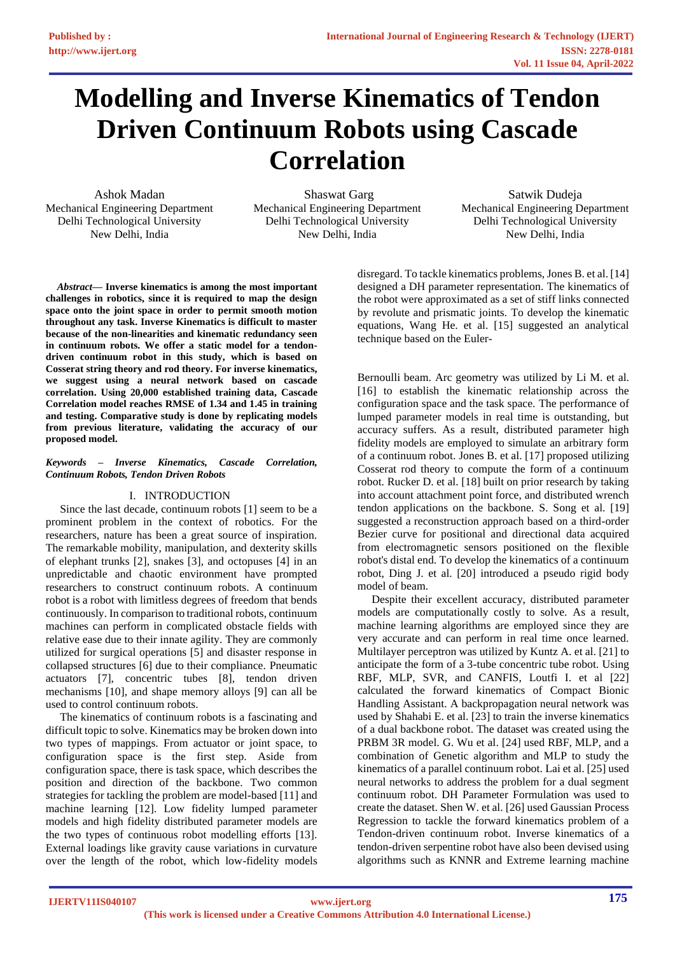# **Modelling and Inverse Kinematics of Tendon Driven Continuum Robots using Cascade Correlation**

Ashok Madan Mechanical Engineering Department Delhi Technological University New Delhi, India

Shaswat Garg Mechanical Engineering Department Delhi Technological University New Delhi, India

Satwik Dudeja Mechanical Engineering Department Delhi Technological University New Delhi, India

*Abstract***— Inverse kinematics is among the most important challenges in robotics, since it is required to map the design space onto the joint space in order to permit smooth motion throughout any task. Inverse Kinematics is difficult to master because of the non-linearities and kinematic redundancy seen in continuum robots. We offer a static model for a tendondriven continuum robot in this study, which is based on Cosserat string theory and rod theory. For inverse kinematics, we suggest using a neural network based on cascade correlation. Using 20,000 established training data, Cascade Correlation model reaches RMSE of 1.34 and 1.45 in training and testing. Comparative study is done by replicating models from previous literature, validating the accuracy of our proposed model.**

## *Keywords – Inverse Kinematics, Cascade Correlation, Continuum Robots, Tendon Driven Robots*

# I. INTRODUCTION

 Since the last decade, continuum robots [1] seem to be a prominent problem in the context of robotics. For the researchers, nature has been a great source of inspiration. The remarkable mobility, manipulation, and dexterity skills of elephant trunks [2], snakes [3], and octopuses [4] in an unpredictable and chaotic environment have prompted researchers to construct continuum robots. A continuum robot is a robot with limitless degrees of freedom that bends continuously. In comparison to traditional robots, continuum machines can perform in complicated obstacle fields with relative ease due to their innate agility. They are commonly utilized for surgical operations [5] and disaster response in collapsed structures [6] due to their compliance. Pneumatic actuators [7], concentric tubes [8], tendon driven mechanisms [10], and shape memory alloys [9] can all be used to control continuum robots.

 The kinematics of continuum robots is a fascinating and difficult topic to solve. Kinematics may be broken down into two types of mappings. From actuator or joint space, to configuration space is the first step. Aside from configuration space, there is task space, which describes the position and direction of the backbone. Two common strategies for tackling the problem are model-based [11] and machine learning [12]. Low fidelity lumped parameter models and high fidelity distributed parameter models are the two types of continuous robot modelling efforts [13]. External loadings like gravity cause variations in curvature over the length of the robot, which low-fidelity models

disregard. To tackle kinematics problems, Jones B. et al. [14] designed a DH parameter representation. The kinematics of the robot were approximated as a set of stiff links connected by revolute and prismatic joints. To develop the kinematic equations, Wang He. et al. [15] suggested an analytical technique based on the Euler-

Bernoulli beam. Arc geometry was utilized by Li M. et al. [16] to establish the kinematic relationship across the configuration space and the task space. The performance of lumped parameter models in real time is outstanding, but accuracy suffers. As a result, distributed parameter high fidelity models are employed to simulate an arbitrary form of a continuum robot. Jones B. et al. [17] proposed utilizing Cosserat rod theory to compute the form of a continuum robot. Rucker D. et al. [18] built on prior research by taking into account attachment point force, and distributed wrench tendon applications on the backbone. S. Song et al. [19] suggested a reconstruction approach based on a third-order Bezier curve for positional and directional data acquired from electromagnetic sensors positioned on the flexible robot's distal end. To develop the kinematics of a continuum robot, Ding J. et al. [20] introduced a pseudo rigid body model of beam.

 Despite their excellent accuracy, distributed parameter models are computationally costly to solve. As a result, machine learning algorithms are employed since they are very accurate and can perform in real time once learned. Multilayer perceptron was utilized by Kuntz A. et al. [21] to anticipate the form of a 3-tube concentric tube robot. Using RBF, MLP, SVR, and CANFIS, Loutfi I. et al [22] calculated the forward kinematics of Compact Bionic Handling Assistant. A backpropagation neural network was used by Shahabi E. et al. [23] to train the inverse kinematics of a dual backbone robot. The dataset was created using the PRBM 3R model. G. Wu et al. [24] used RBF, MLP, and a combination of Genetic algorithm and MLP to study the kinematics of a parallel continuum robot. Lai et al. [25] used neural networks to address the problem for a dual segment continuum robot. DH Parameter Formulation was used to create the dataset. Shen W. et al. [26] used Gaussian Process Regression to tackle the forward kinematics problem of a Tendon-driven continuum robot. Inverse kinematics of a tendon-driven serpentine robot have also been devised using algorithms such as KNNR and Extreme learning machine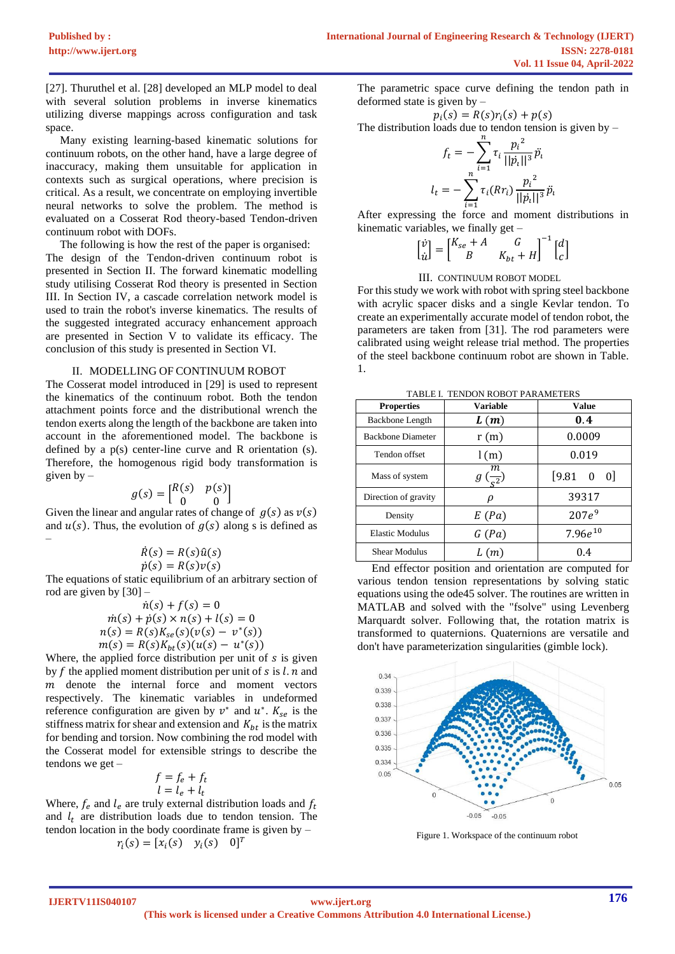[27]. Thuruthel et al. [28] developed an MLP model to deal with several solution problems in inverse kinematics utilizing diverse mappings across configuration and task space.

 Many existing learning-based kinematic solutions for continuum robots, on the other hand, have a large degree of inaccuracy, making them unsuitable for application in contexts such as surgical operations, where precision is critical. As a result, we concentrate on employing invertible neural networks to solve the problem. The method is evaluated on a Cosserat Rod theory-based Tendon-driven continuum robot with DOFs.

 The following is how the rest of the paper is organised: The design of the Tendon-driven continuum robot is presented in Section II. The forward kinematic modelling study utilising Cosserat Rod theory is presented in Section III. In Section IV, a cascade correlation network model is used to train the robot's inverse kinematics. The results of the suggested integrated accuracy enhancement approach are presented in Section V to validate its efficacy. The conclusion of this study is presented in Section VI.

## II. MODELLING OF CONTINUUM ROBOT

The Cosserat model introduced in [29] is used to represent the kinematics of the continuum robot. Both the tendon attachment points force and the distributional wrench the tendon exerts along the length of the backbone are taken into account in the aforementioned model. The backbone is defined by a p(s) center-line curve and R orientation (s). Therefore, the homogenous rigid body transformation is given by  $-$ 

$$
g(s) = \begin{bmatrix} R(s) & p(s) \\ 0 & 0 \end{bmatrix}
$$

Given the linear and angular rates of change of  $g(s)$  as  $v(s)$ and  $u(s)$ . Thus, the evolution of  $g(s)$  along s is defined as –

$$
\begin{aligned} \dot{R}(s) &= R(s)\hat{u}(s) \\ \dot{p}(s) &= R(s)\nu(s) \end{aligned}
$$

The equations of static equilibrium of an arbitrary section of rod are given by [30] –

$$
\begin{aligned}\n\dot{n}(s) + f(s) &= 0 \\
\dot{m}(s) + \dot{p}(s) \times n(s) + l(s) &= 0 \\
n(s) &= R(s)K_{se}(s)(v(s) - v^*(s)) \\
m(s) &= R(s)K_{bt}(s)(u(s) - u^*(s))\n\end{aligned}
$$

Where, the applied force distribution per unit of  $s$  is given by  $f$  the applied moment distribution per unit of  $s$  is  $l$ .  $n$  and  $m$  denote the internal force and moment vectors respectively. The kinematic variables in undeformed reference configuration are given by  $v^*$  and  $u^*$ .  $K_{se}$  is the stiffness matrix for shear and extension and  $K_{bt}$  is the matrix for bending and torsion. Now combining the rod model with the Cosserat model for extensible strings to describe the tendons we get –

$$
f = f_e + f_t
$$
  

$$
l = l_e + l_t
$$

Where,  $f_e$  and  $l_e$  are truly external distribution loads and  $f_t$ and  $l_t$  are distribution loads due to tendon tension. The tendon location in the body coordinate frame is given by –  $r_i(s) = [x_i(s) \quad y_i(s) \quad 0]^T$ 

The parametric space curve defining the tendon path in deformed state is given by –

 $p_i(s) = R(s)r_i(s) + p(s)$ 

The distribution loads due to tendon tension is given by –

$$
f_t = -\sum_{i=1}^n \tau_i \frac{p_i^2}{||p_i||^3} \ddot{p_i}
$$

$$
l_t = -\sum_{i=1}^n \tau_i (Rr_i) \frac{p_i^2}{||p_i||^3} \ddot{p_i}
$$

After expressing the force and moment distributions in kinematic variables, we finally get –

$$
\begin{bmatrix} \dot{v} \\ \dot{u} \end{bmatrix} = \begin{bmatrix} K_{se} + A & G \\ B & K_{bt} + H \end{bmatrix}^{-1} \begin{bmatrix} d \\ c \end{bmatrix}
$$

# III. CONTINUUM ROBOT MODEL

For this study we work with robot with spring steel backbone with acrylic spacer disks and a single Kevlar tendon. To create an experimentally accurate model of tendon robot, the parameters are taken from [31]. The rod parameters were calibrated using weight release trial method. The properties of the steel backbone continuum robot are shown in Table. 1.

TABLE I. TENDON ROBOT PARAMETERS

| <b>Properties</b>        | <b>Variable</b>    | <b>Value</b>                   |  |
|--------------------------|--------------------|--------------------------------|--|
| Backbone Length          | L(m)               | 0.4                            |  |
| <b>Backbone Diameter</b> | r(m)               | 0.0009                         |  |
| Tendon offset            | l(m)               | 0.019                          |  |
| Mass of system           | т<br>$\frac{1}{2}$ | $[9.81 \ 0]$<br>$\overline{0}$ |  |
| Direction of gravity     | ρ                  | 39317                          |  |
| Density                  | E(Pa)              | $207e^9$                       |  |
| Elastic Modulus          | G(Pa)              | $7.96e^{10}$                   |  |
| <b>Shear Modulus</b>     | L(m)               | 0.4                            |  |

 End effector position and orientation are computed for various tendon tension representations by solving static equations using the ode45 solver. The routines are written in MATLAB and solved with the "fsolve" using Levenberg Marquardt solver. Following that, the rotation matrix is transformed to quaternions. Quaternions are versatile and don't have parameterization singularities (gimble lock).



Figure 1. Workspace of the continuum robot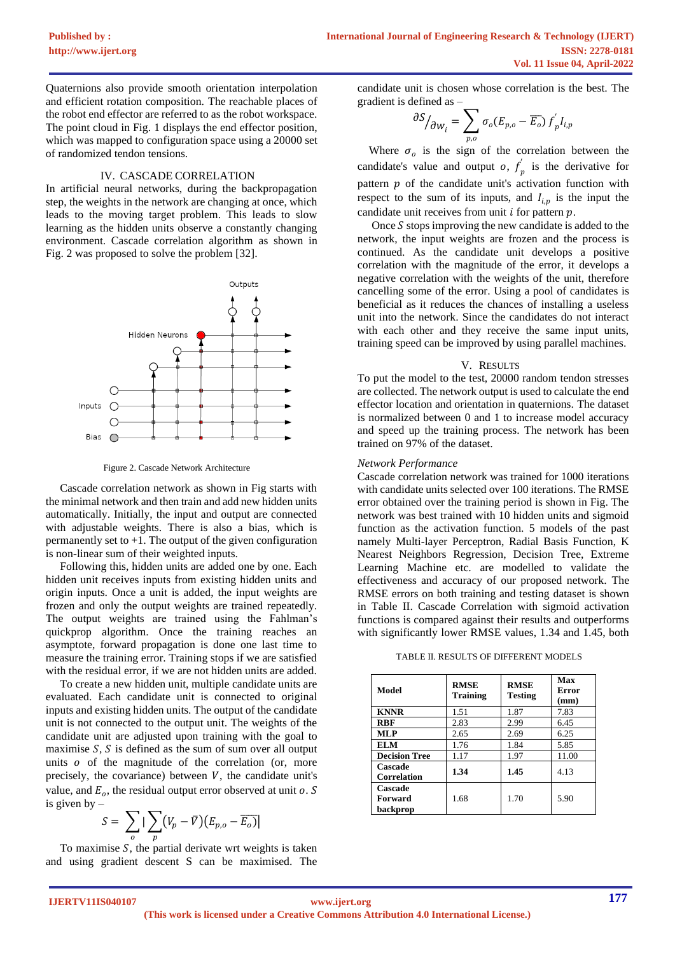Quaternions also provide smooth orientation interpolation and efficient rotation composition. The reachable places of the robot end effector are referred to as the robot workspace. The point cloud in Fig. 1 displays the end effector position, which was mapped to configuration space using a 20000 set of randomized tendon tensions.

# IV. CASCADE CORRELATION

In artificial neural networks, during the backpropagation step, the weights in the network are changing at once, which leads to the moving target problem. This leads to slow learning as the hidden units observe a constantly changing environment. Cascade correlation algorithm as shown in Fig. 2 was proposed to solve the problem [32].



Figure 2. Cascade Network Architecture

 Cascade correlation network as shown in Fig starts with the minimal network and then train and add new hidden units automatically. Initially, the input and output are connected with adjustable weights. There is also a bias, which is permanently set to  $+1$ . The output of the given configuration is non-linear sum of their weighted inputs.

 Following this, hidden units are added one by one. Each hidden unit receives inputs from existing hidden units and origin inputs. Once a unit is added, the input weights are frozen and only the output weights are trained repeatedly. The output weights are trained using the Fahlman's quickprop algorithm. Once the training reaches an asymptote, forward propagation is done one last time to measure the training error. Training stops if we are satisfied with the residual error, if we are not hidden units are added.

 To create a new hidden unit, multiple candidate units are evaluated. Each candidate unit is connected to original inputs and existing hidden units. The output of the candidate unit is not connected to the output unit. The weights of the candidate unit are adjusted upon training with the goal to maximise  $S$ ,  $S$  is defined as the sum of sum over all output units  $o$  of the magnitude of the correlation (or, more precisely, the covariance) between  $V$ , the candidate unit's value, and  $E_o$ , the residual output error observed at unit o. S is given by –

$$
S = \sum_{o} |\sum_{p} (V_p - \bar{V})(E_{p,o} - \overline{E_o})|
$$

To maximise  $S$ , the partial derivate wrt weights is taken and using gradient descent S can be maximised. The candidate unit is chosen whose correlation is the best. The gradient is defined as –

$$
\frac{\partial S}{\partial w_i} = \sum_{p,o} \sigma_o (E_{p,o} - \overline{E_o}) f_p' I_{i,p}
$$

Where  $\sigma_o$  is the sign of the correlation between the candidate's value and output *o*,  $f'_p$  is the derivative for pattern  $p$  of the candidate unit's activation function with respect to the sum of its inputs, and  $I_{i,p}$  is the input the candidate unit receives from unit  $i$  for pattern  $p$ .

Once  $S$  stops improving the new candidate is added to the network, the input weights are frozen and the process is continued. As the candidate unit develops a positive correlation with the magnitude of the error, it develops a negative correlation with the weights of the unit, therefore cancelling some of the error. Using a pool of candidates is beneficial as it reduces the chances of installing a useless unit into the network. Since the candidates do not interact with each other and they receive the same input units, training speed can be improved by using parallel machines.

## V. RESULTS

To put the model to the test, 20000 random tendon stresses are collected. The network output is used to calculate the end effector location and orientation in quaternions. The dataset is normalized between 0 and 1 to increase model accuracy and speed up the training process. The network has been trained on 97% of the dataset.

## *Network Performance*

Cascade correlation network was trained for 1000 iterations with candidate units selected over 100 iterations. The RMSE error obtained over the training period is shown in Fig. The network was best trained with 10 hidden units and sigmoid function as the activation function. 5 models of the past namely Multi-layer Perceptron, Radial Basis Function, K Nearest Neighbors Regression, Decision Tree, Extreme Learning Machine etc. are modelled to validate the effectiveness and accuracy of our proposed network. The RMSE errors on both training and testing dataset is shown in Table II. Cascade Correlation with sigmoid activation functions is compared against their results and outperforms with significantly lower RMSE values, 1.34 and 1.45, both

TABLE II. RESULTS OF DIFFERENT MODELS

| Model                          | <b>RMSE</b><br><b>Training</b> | <b>RMSE</b><br><b>Testing</b> | Max<br>Error<br>(mm) |
|--------------------------------|--------------------------------|-------------------------------|----------------------|
| <b>KNNR</b>                    | 1.51                           | 1.87                          | 7.83                 |
| <b>RBF</b>                     | 2.83                           | 2.99                          | 6.45                 |
| <b>MLP</b>                     | 2.65                           | 2.69                          | 6.25                 |
| <b>ELM</b>                     | 1.76                           | 1.84                          | 5.85                 |
| <b>Decision Tree</b>           | 1.17                           | 1.97                          | 11.00                |
| Cascade<br><b>Correlation</b>  | 1.34                           | 1.45                          | 4.13                 |
| Cascade<br>Forward<br>backprop | 1.68                           | 1.70                          | 5.90                 |